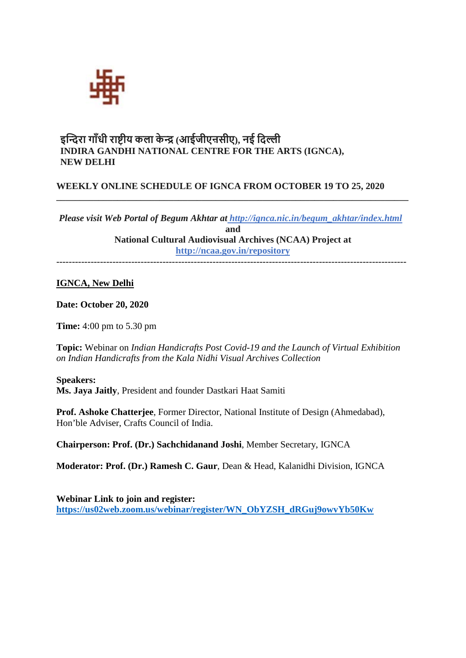

# **इ��रा गाँधी रा��ीय कला के � (आईजीएऩसीए), नई िद�ी INDIRA GANDHI NATIONAL CENTRE FOR THE ARTS (IGNCA), NEW DELHI**

# **WEEKLY ONLINE SCHEDULE OF IGNCA FROM OCTOBER 19 TO 25, 2020**

*Please visit Web Portal of Begum Akhtar at [http://ignca.nic.in/begum\\_akhtar/index.html](http://ignca.nic.in/begum_akhtar/index.html)* **and National Cultural Audiovisual Archives (NCAA) Project a[t](http://ncaa.gov.in/repository) <http://ncaa.gov.in/repository>**

**\_\_\_\_\_\_\_\_\_\_\_\_\_\_\_\_\_\_\_\_\_\_\_\_\_\_\_\_\_\_\_\_\_\_\_\_\_\_\_\_\_\_\_\_\_\_\_\_\_\_\_\_\_\_\_\_\_\_\_\_\_\_\_\_\_\_\_\_\_\_\_\_\_\_\_**

**----------------------------------------------------------------------------------------------------------------**

## **IGNCA, New Delhi**

**Date: October 20, 2020**

**Time:** 4:00 pm to 5.30 pm

**Topic:** Webinar on *[Indian Handicrafts Post Covid-19 and the Launch of Virtual Exhibition](http://ignca.gov.in/hi/events/webinar-indian-handicrafts-post-covid-19-and-the-launch-of-virtual-exhibition-on-indian-handicrafts-from-the-kala-nidhi-visual-archives-collection/)  [on Indian Handicrafts from the Kala Nidhi Visual Archives Collection](http://ignca.gov.in/hi/events/webinar-indian-handicrafts-post-covid-19-and-the-launch-of-virtual-exhibition-on-indian-handicrafts-from-the-kala-nidhi-visual-archives-collection/)*

**Speakers: Ms. Jaya Jaitly**, President and founder Dastkari Haat Samiti

**Prof. Ashoke Chatterjee**, Former Director, National Institute of Design (Ahmedabad), Hon'ble Adviser, Crafts Council of India.

**Chairperson: Prof. (Dr.) Sachchidanand Joshi**, Member Secretary, IGNCA

**Moderator: Prof. (Dr.) Ramesh C. Gaur**, Dean & Head, Kalanidhi Division, IGNCA

**Webinar Link to join and register: [https://us02web.zoom.us/webinar/register/WN\\_ObYZSH\\_dRGuj9owvYb50Kw](https://us02web.zoom.us/webinar/register/WN_ObYZSH_dRGuj9owvYb50Kw)**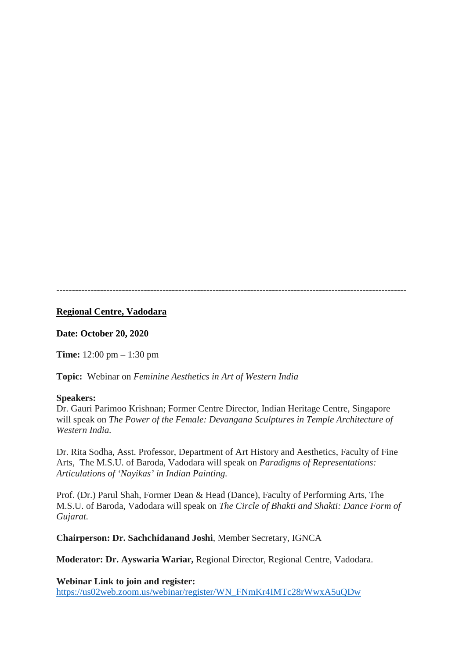**----------------------------------------------------------------------------------------------------------------**

### **Regional Centre, Vadodara**

**Date: October 20, 2020**

**Time:** 12:00 pm – 1:30 pm

**Topic:** Webinar on *Feminine Aesthetics in Art of Western India*

#### **Speakers:**

Dr. Gauri Parimoo Krishnan; Former Centre Director, Indian Heritage Centre, Singapore will speak on *The Power of the Female: Devangana Sculptures in Temple Architecture of Western India.*

Dr. Rita Sodha, Asst. Professor, Department of Art History and Aesthetics, Faculty of Fine Arts, The M.S.U. of Baroda, Vadodara will speak on *Paradigms of Representations: Articulations of 'Nayikas' in Indian Painting.*

Prof. (Dr.) Parul Shah, Former Dean & Head (Dance), Faculty of Performing Arts, The M.S.U. of Baroda, Vadodara will speak on *The Circle of Bhakti and Shakti: Dance Form of Gujarat.*

**Chairperson: Dr. Sachchidanand Joshi**, Member Secretary, IGNCA

**Moderator: Dr. Ayswaria Wariar,** Regional Director, Regional Centre, Vadodara.

**Webinar Link to join and register:**

[https://us02web.zoom.us/webinar/register/WN\\_FNmKr4IMTc28rWwxA5uQDw](https://us02web.zoom.us/webinar/register/WN_FNmKr4IMTc28rWwxA5uQDw)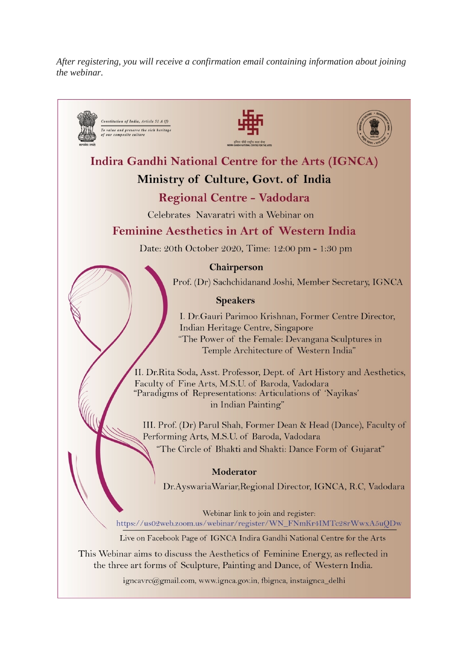*After registering, you will receive a confirmation email containing information about joining the webinar.*

Constitution of India, Article 51 A (f) To value and preserve the rich heritage<br>of our composite culture **Indira Gandhi National Centre for the Arts (IGNCA)** Ministry of Culture, Govt. of India Regional Centre - Vadodara Celebrates Navaratri with a Webinar on **Feminine Aesthetics in Art of Western India** Date: 20th October 2020, Time: 12:00 pm - 1:30 pm **Chairperson** Prof. (Dr) Sachchidanand Joshi, Member Secretary, IGNCA **Speakers** I. Dr.Gauri Parimoo Krishnan, Former Centre Director, Indian Heritage Centre, Singapore "The Power of the Female: Devangana Sculptures in Temple Architecture of Western India" II. Dr.Rita Soda, Asst. Professor, Dept. of Art History and Aesthetics, Faculty of Fine Arts, M.S.U. of Baroda, Vadodara "Paradigms of Representations: Articulations of 'Nayikas' in Indian Painting" III. Prof. (Dr) Parul Shah, Former Dean & Head (Dance), Faculty of Performing Arts, M.S.U. of Baroda, Vadodara "The Circle of Bhakti and Shakti: Dance Form of Gujarat" Moderator Dr.AyswariaWariar, Regional Director, IGNCA, R.C, Vadodara Webinar link to join and register: https://us02web.zoom.us/webinar/register/WN\_FNmKr4IMTc28rWwxA5uQDw Live on Facebook Page of IGNCA Indira Gandhi National Centre for the Arts

This Webinar aims to discuss the Aesthetics of Feminine Energy, as reflected in the three art forms of Sculpture, Painting and Dance, of Western India.

igncavrc@gmail.com, www.ignca.gov.in, fbignca, instaignca\_delhi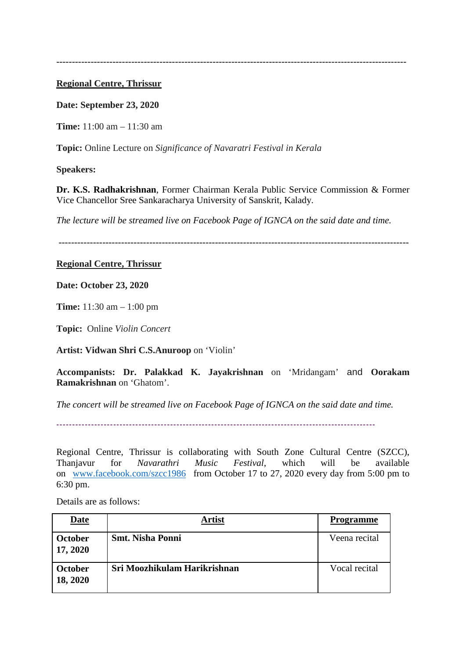**----------------------------------------------------------------------------------------------------------------**

#### **Regional Centre, Thrissur**

**Date: September 23, 2020**

**Time:** 11:00 am – 11:30 am

**Topic:** Online Lecture on *Significance of Navaratri Festival in Kerala*

**Speakers:**

**Dr. K.S. Radhakrishnan**, Former Chairman Kerala Public Service Commission & Former Vice Chancellor Sree Sankaracharya University of Sanskrit, Kalady.

*The lecture will be streamed live on Facebook Page of IGNCA on the said date and time.*

**----------------------------------------------------------------------------------------------------------------**

### **Regional Centre, Thrissur**

**Date: October 23, 2020**

**Time:** 11:30 am – 1:00 pm

**Topic:** Online *Violin Concert*

**Artist: Vidwan Shri C.S.Anuroop** on 'Violin'

**Accompanists: Dr. Palakkad K. Jayakrishnan** on 'Mridangam' and **Oorakam Ramakrishnan** on 'Ghatom'.

*The concert will be streamed live on Facebook Page of IGNCA on the said date and time.*

*-----------------------------------------------------------------------------------------------------*

Regional Centre, Thrissur is collaborating with South Zone Cultural Centre (SZCC), Thanjavur for *Navarathri Music Festival*, which will be available on [www.facebook.com/szcc1986](http://www.facebook.com/szcc1986) from October 17 to 27, 2020 every day from 5:00 pm to 6:30 pm.

Details are as follows:

| <b>Date</b>                | Artist                       | <b>Programme</b> |
|----------------------------|------------------------------|------------------|
| <b>October</b><br>17, 2020 | <b>Smt. Nisha Ponni</b>      | Veena recital    |
| October<br>18, 2020        | Sri Moozhikulam Harikrishnan | Vocal recital    |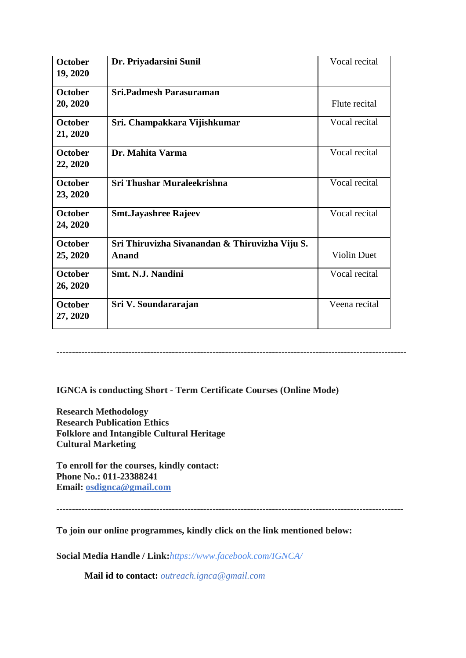| <b>October</b><br>19, 2020 | Dr. Priyadarsini Sunil                                  | Vocal recital      |
|----------------------------|---------------------------------------------------------|--------------------|
| <b>October</b><br>20, 2020 | <b>Sri.Padmesh Parasuraman</b>                          | Flute recital      |
| <b>October</b><br>21, 2020 | Sri. Champakkara Vijishkumar                            | Vocal recital      |
| <b>October</b><br>22, 2020 | Dr. Mahita Varma                                        | Vocal recital      |
| <b>October</b><br>23, 2020 | Sri Thushar Muraleekrishna                              | Vocal recital      |
| <b>October</b><br>24, 2020 | <b>Smt.Jayashree Rajeev</b>                             | Vocal recital      |
| October<br>25, 2020        | Sri Thiruvizha Sivanandan & Thiruvizha Viju S.<br>Anand | <b>Violin Duet</b> |
| <b>October</b><br>26, 2020 | <b>Smt. N.J. Nandini</b>                                | Vocal recital      |
| <b>October</b><br>27, 2020 | Sri V. Soundararajan                                    | Veena recital      |

**IGNCA is conducting Short - Term Certificate Courses (Online Mode)**

**Research Methodology Research Publication Ethics Folklore and Intangible Cultural Heritage Cultural Marketing**

**To enroll for the courses, kindly contact: Phone No.: 011-23388241 Email: [osdignca@gmail.com](mailto:osdignca@gmail.com)**

**---------------------------------------------------------------------------------------------------------------**

----------------------------------------------------------------------------------------------------------------

**To join our online programmes, kindly click on the link mentioned below:**

**Social Media Handle / Link:***<https://www.facebook.com/IGNCA/>*

**Mail id to contact:** *outreach.ignca@gmail.com*